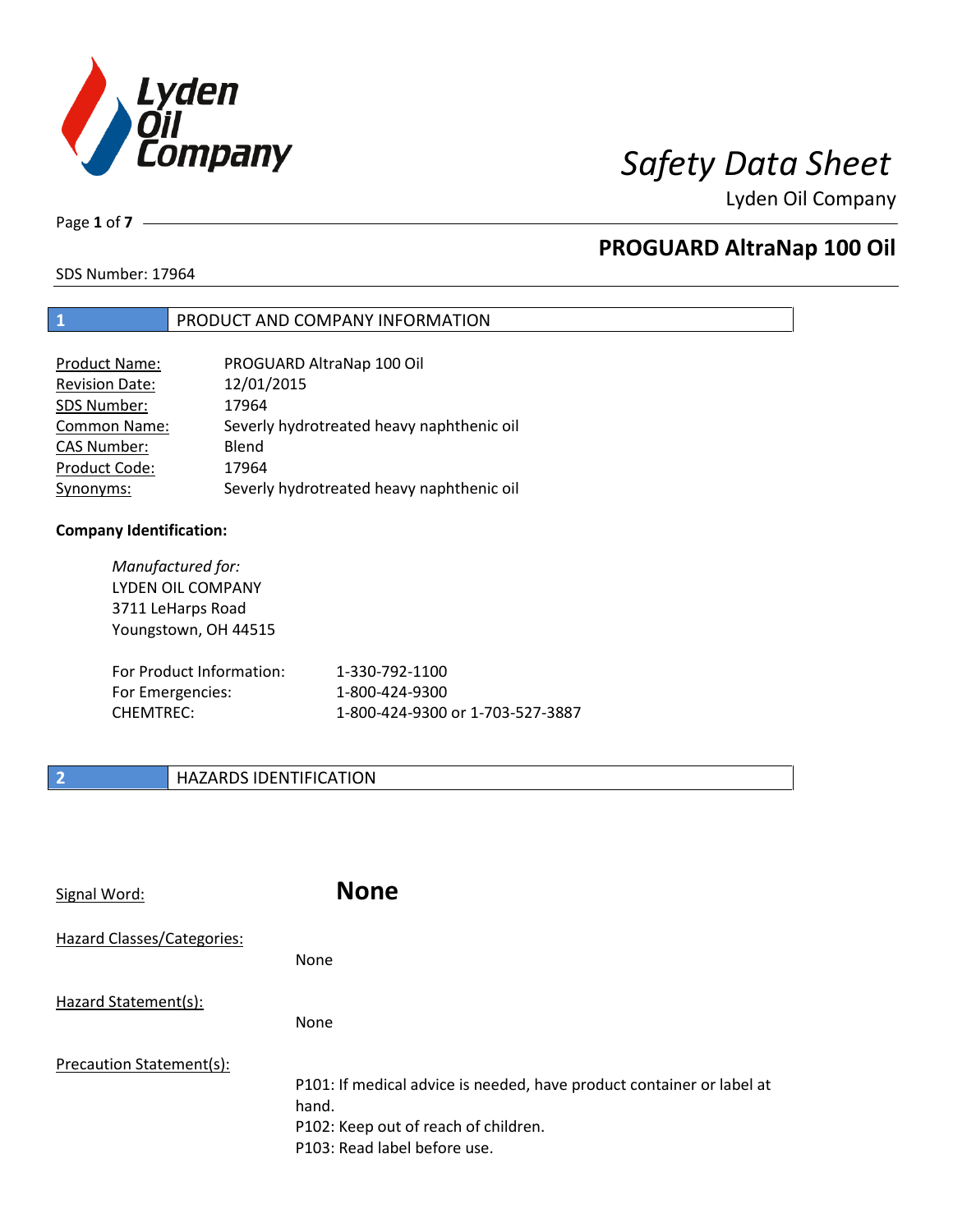

Lyden Oil Company

Page **1** of **7**

# **PROGUARD AltraNap 100 Oil**

SDS Number: 17964

## **1** PRODUCT AND COMPANY INFORMATION

| Product Name:         | PROGUARD AltraNap 100 Oil                 |
|-----------------------|-------------------------------------------|
| <b>Revision Date:</b> | 12/01/2015                                |
| SDS Number:           | 17964                                     |
| <b>Common Name:</b>   | Severly hydrotreated heavy naphthenic oil |
| <b>CAS Number:</b>    | Blend                                     |
| Product Code:         | 17964                                     |
| Synonyms:             | Severly hydrotreated heavy naphthenic oil |

### **Company Identification:**

| Manufactured for:<br>LYDEN OIL COMPANY<br>3711 LeHarps Road<br>Youngstown, OH 44515 |                                  |
|-------------------------------------------------------------------------------------|----------------------------------|
| For Product Information:                                                            | 1-330-792-1100                   |
| For Emergencies:                                                                    | 1-800-424-9300                   |
| <b>CHEMTREC:</b>                                                                    | 1-800-424-9300 or 1-703-527-3887 |

## **2 HAZARDS IDENTIFICATION**

| Signal Word:               | <b>None</b>                                                                                                                                            |
|----------------------------|--------------------------------------------------------------------------------------------------------------------------------------------------------|
| Hazard Classes/Categories: | None                                                                                                                                                   |
| Hazard Statement(s):       | None                                                                                                                                                   |
| Precaution Statement(s):   | P101: If medical advice is needed, have product container or label at<br>hand.<br>P102: Keep out of reach of children.<br>P103: Read label before use. |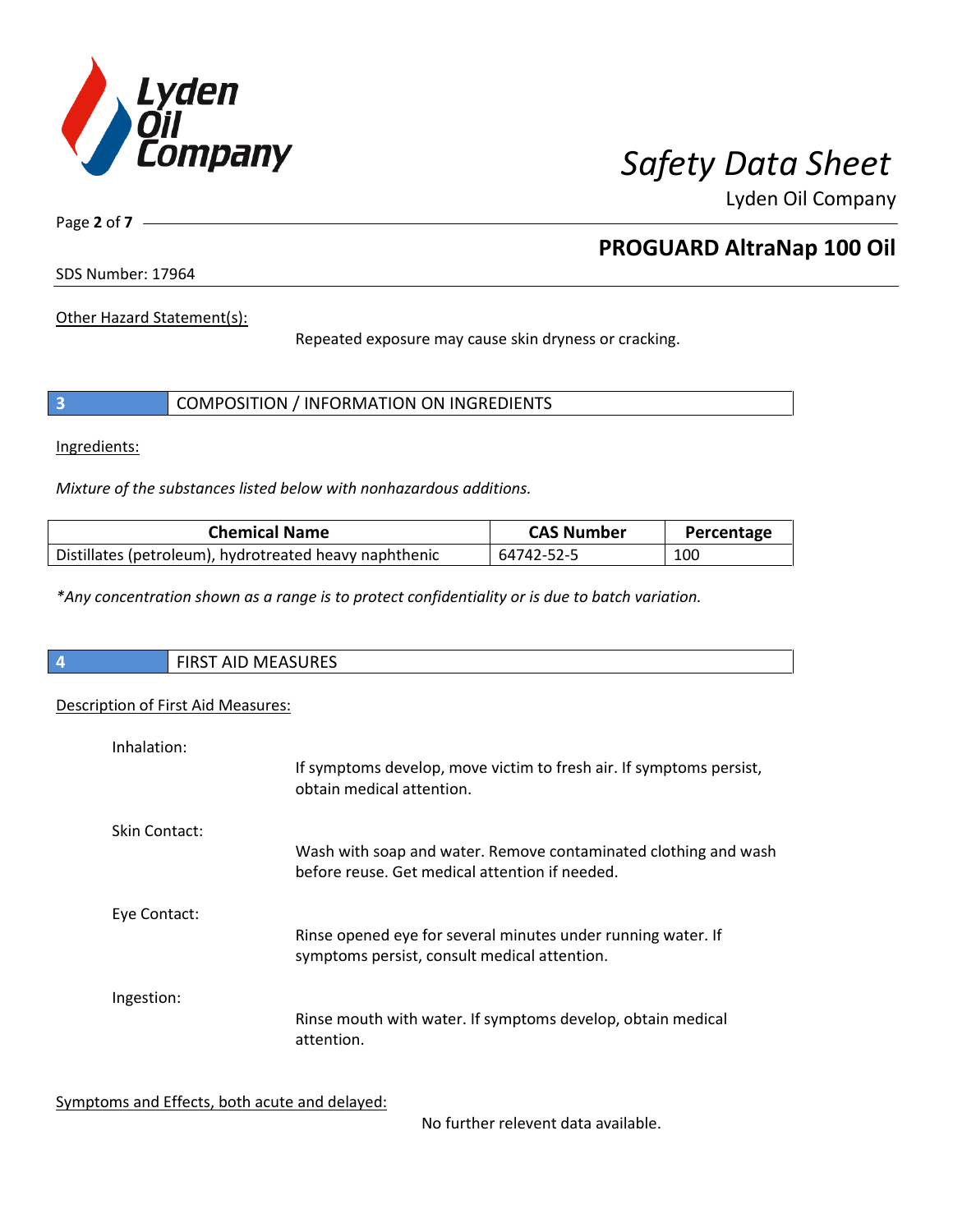

Lyden Oil Company

Page **2** of **7**

# **PROGUARD AltraNap 100 Oil**

SDS Number: 17964

Other Hazard Statement(s):

Repeated exposure may cause skin dryness or cracking.

|  | COMPOSITION / INFORMATION ON INGREDIENTS |  |
|--|------------------------------------------|--|
|--|------------------------------------------|--|

Ingredients:

*Mixture of the substances listed below with nonhazardous additions.*

| <b>Chemical Name</b>                                   | <b>CAS Number</b> | Percentage |
|--------------------------------------------------------|-------------------|------------|
| Distillates (petroleum), hydrotreated heavy naphthenic | 64742-52-5        | 100        |

*\*Any concentration shown as a range is to protect confidentiality or is due to batch variation.*

| $\overline{4}$ | ATACIDFC<br>$\mathbf{r}$<br>N<br>כאחטו<br>. .<br>$\cdots$ |
|----------------|-----------------------------------------------------------|
|                |                                                           |

### Description of First Aid Measures:

| Inhalation:   | If symptoms develop, move victim to fresh air. If symptoms persist,<br>obtain medical attention.             |
|---------------|--------------------------------------------------------------------------------------------------------------|
| Skin Contact: | Wash with soap and water. Remove contaminated clothing and wash                                              |
|               | before reuse. Get medical attention if needed.                                                               |
| Eye Contact:  | Rinse opened eye for several minutes under running water. If<br>symptoms persist, consult medical attention. |
| Ingestion:    |                                                                                                              |
|               | Rinse mouth with water. If symptoms develop, obtain medical<br>attention.                                    |

Symptoms and Effects, both acute and delayed:

No further relevent data available.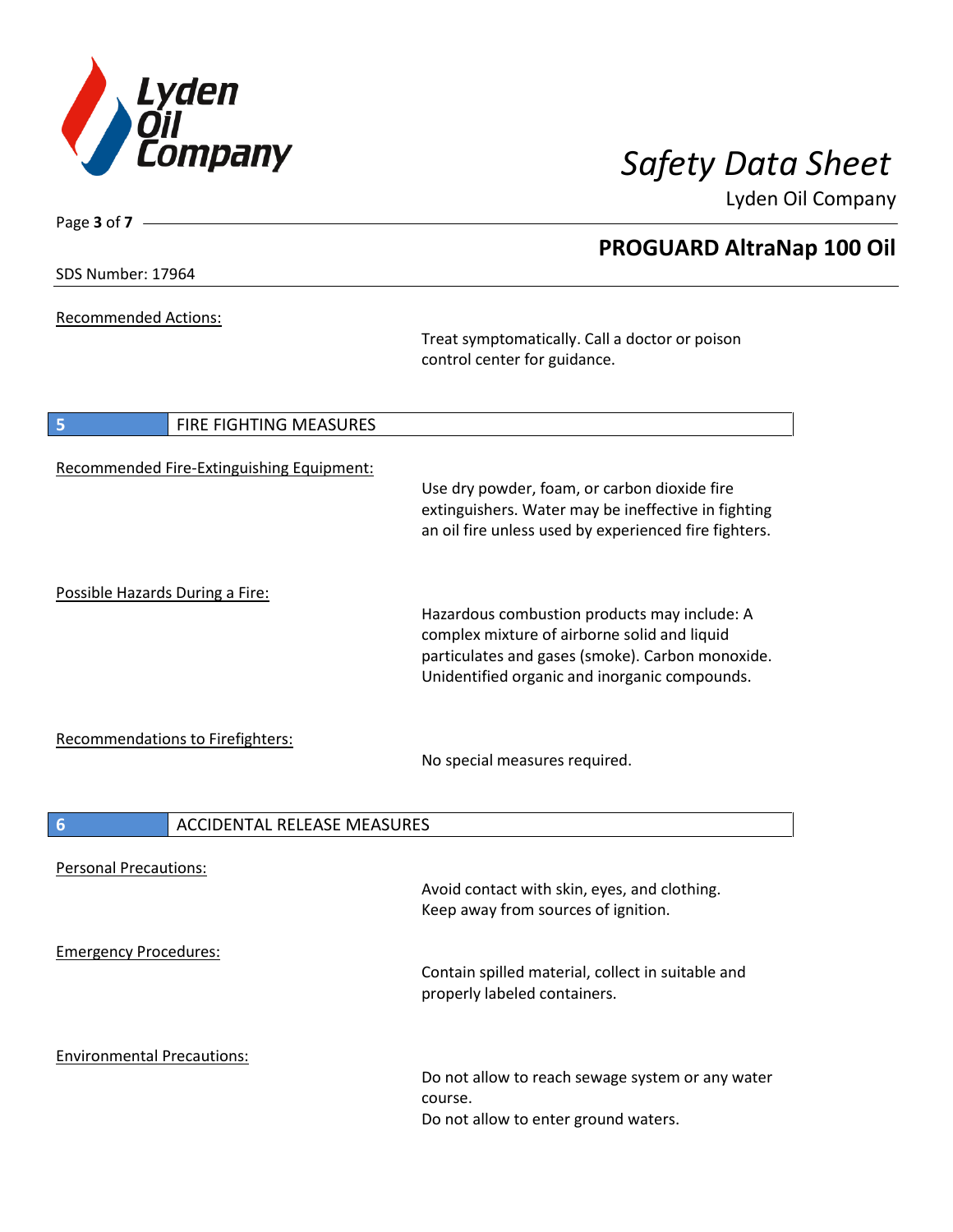

Lyden Oil Company

SDS Number: 17964

Page **3** of **7**

Recommended Actions:

Treat symptomatically. Call a doctor or poison control center for guidance.

| 5<br>FIRE FIGHTING MEASURES               |                                                                                                                                                                                                   |
|-------------------------------------------|---------------------------------------------------------------------------------------------------------------------------------------------------------------------------------------------------|
| Recommended Fire-Extinguishing Equipment: | Use dry powder, foam, or carbon dioxide fire<br>extinguishers. Water may be ineffective in fighting<br>an oil fire unless used by experienced fire fighters.                                      |
| Possible Hazards During a Fire:           | Hazardous combustion products may include: A<br>complex mixture of airborne solid and liquid<br>particulates and gases (smoke). Carbon monoxide.<br>Unidentified organic and inorganic compounds. |
| <b>Recommendations to Firefighters:</b>   | No special measures required.                                                                                                                                                                     |
| 6<br><b>ACCIDENTAL RELEASE MEASURES</b>   |                                                                                                                                                                                                   |
| <b>Personal Precautions:</b>              | Avoid contact with skin, eyes, and clothing.<br>Keep away from sources of ignition.                                                                                                               |
| <b>Emergency Procedures:</b>              | Contain spilled material, collect in suitable and<br>properly labeled containers.                                                                                                                 |
| <b>Environmental Precautions:</b>         | Do not allow to reach sewage system or any water<br>course.<br>Do not allow to enter ground waters.                                                                                               |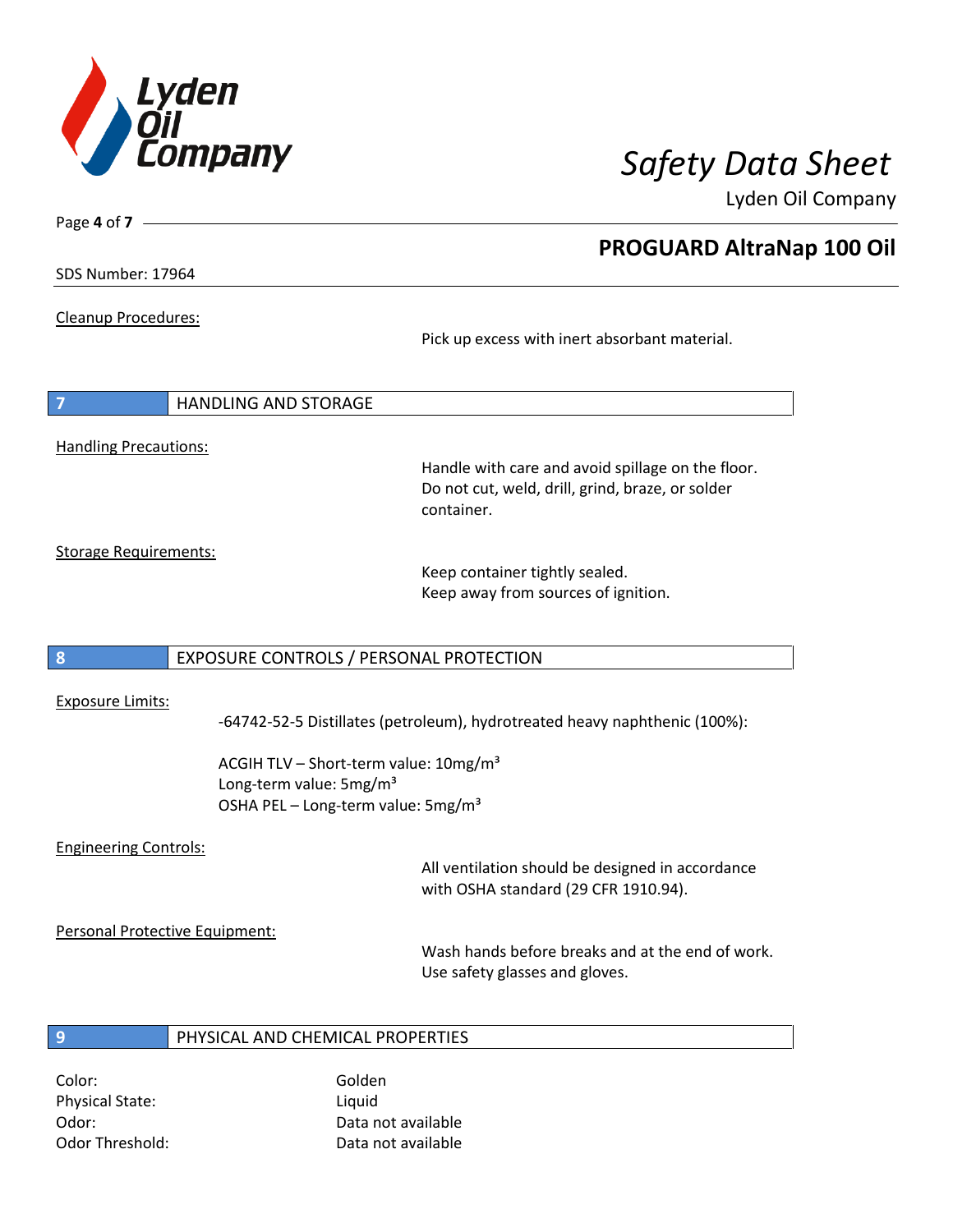

Lyden Oil Company

SDS Number: 17964

Page **4** of **7**

Cleanup Procedures:

Pick up excess with inert absorbant material.

| $\overline{7}$               | <b>HANDLING AND STORAGE</b> |
|------------------------------|-----------------------------|
|                              |                             |
| <b>Handling Precautions:</b> |                             |

Handle with care and avoid spillage on the floor. Do not cut, weld, drill, grind, braze, or solder container.

Storage Requirements:

Keep container tightly sealed. Keep away from sources of ignition.

### **8** EXPOSURE CONTROLS / PERSONAL PROTECTION

### Exposure Limits:

-64742-52-5 Distillates (petroleum), hydrotreated heavy naphthenic (100%):

ACGIH TLV - Short-term value: 10mg/m<sup>3</sup> Long-term value: 5mg/m<sup>3</sup> OSHA PEL – Long-term value: 5mg/m<sup>3</sup>

### Engineering Controls:

All ventilation should be designed in accordance with OSHA standard (29 CFR 1910.94).

Personal Protective Equipment:

Wash hands before breaks and at the end of work. Use safety glasses and gloves.

# **9** PHYSICAL AND CHEMICAL PROPERTIES

Color: Golden Physical State: Liquid

Odor: Data not available Odor Threshold: Data not available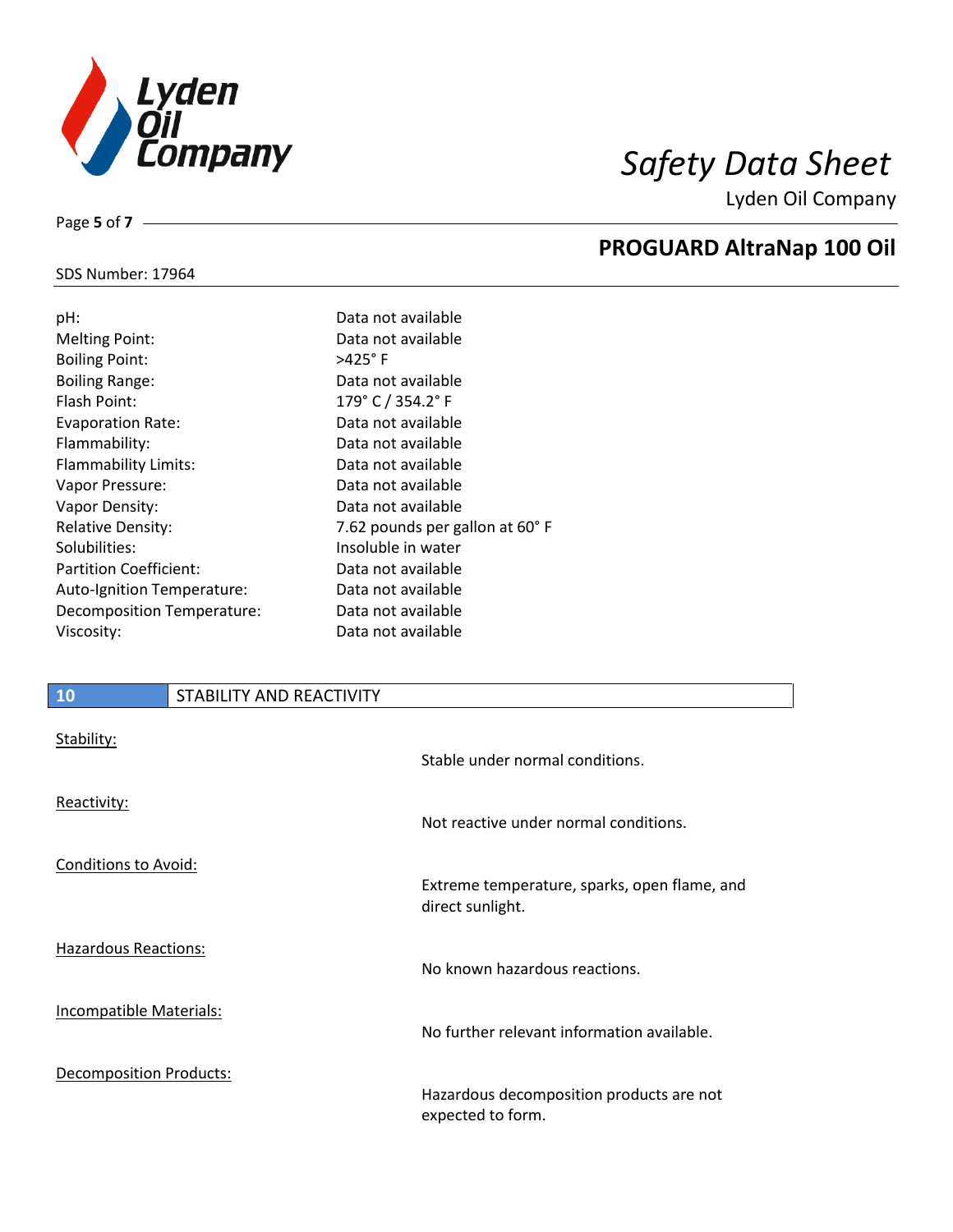

Lyden Oil Company

### SDS Number: 17964

Page **5** of **7**

| pH:                           | Data not available              |
|-------------------------------|---------------------------------|
| <b>Melting Point:</b>         | Data not available              |
| <b>Boiling Point:</b>         | $>425^\circ$ F                  |
| <b>Boiling Range:</b>         | Data not available              |
| Flash Point:                  | 179° C / 354.2° F               |
| Evaporation Rate:             | Data not available              |
| Flammability:                 | Data not available              |
| Flammability Limits:          | Data not available              |
| Vapor Pressure:               | Data not available              |
| Vapor Density:                | Data not available              |
| <b>Relative Density:</b>      | 7.62 pounds per gallon at 60° F |
| Solubilities:                 | Insoluble in water              |
| <b>Partition Coefficient:</b> | Data not available              |
| Auto-Ignition Temperature:    | Data not available              |
| Decomposition Temperature:    | Data not available              |
| Viscosity:                    | Data not available              |
|                               |                                 |

# **10** STABILITY AND REACTIVITY

| Stability:                     | Stable under normal conditions.                                  |
|--------------------------------|------------------------------------------------------------------|
| Reactivity:                    | Not reactive under normal conditions.                            |
| Conditions to Avoid:           |                                                                  |
|                                | Extreme temperature, sparks, open flame, and<br>direct sunlight. |
| <b>Hazardous Reactions:</b>    | No known hazardous reactions.                                    |
| Incompatible Materials:        | No further relevant information available.                       |
| <b>Decomposition Products:</b> | Hazardous decomposition products are not<br>expected to form.    |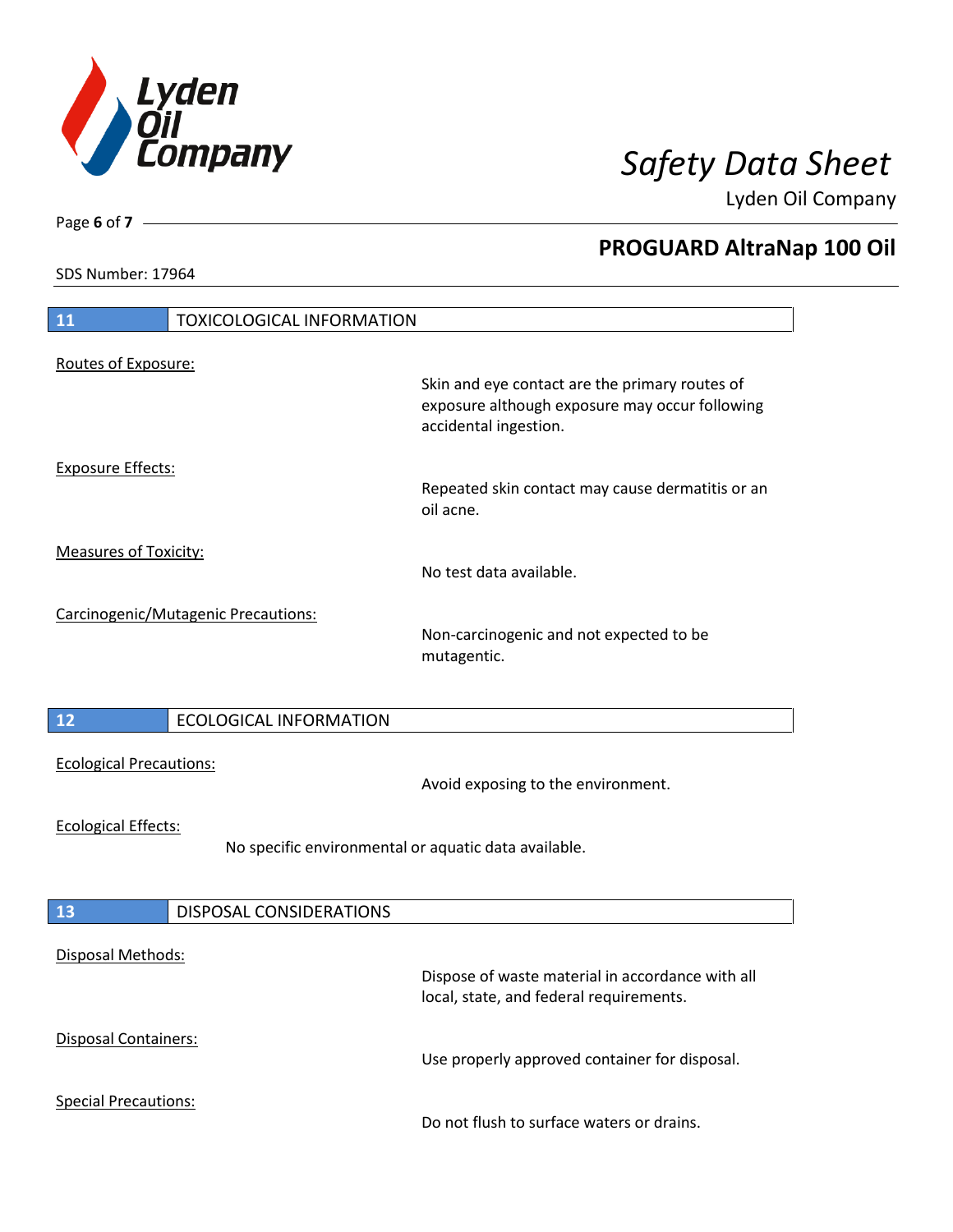

Lyden Oil Company

SDS Number: 17964

| $\boxed{11}$<br><b>TOXICOLOGICAL INFORMATION</b>                                   |                                                                                                  |  |
|------------------------------------------------------------------------------------|--------------------------------------------------------------------------------------------------|--|
| Routes of Exposure:                                                                | Skin and eye contact are the primary routes of<br>exposure although exposure may occur following |  |
| <b>Exposure Effects:</b>                                                           | accidental ingestion.<br>Repeated skin contact may cause dermatitis or an<br>oil acne.           |  |
| <b>Measures of Toxicity:</b>                                                       | No test data available.                                                                          |  |
| Carcinogenic/Mutagenic Precautions:                                                | Non-carcinogenic and not expected to be<br>mutagentic.                                           |  |
| 12<br><b>ECOLOGICAL INFORMATION</b>                                                |                                                                                                  |  |
| <b>Ecological Precautions:</b>                                                     | Avoid exposing to the environment.                                                               |  |
| <b>Ecological Effects:</b><br>No specific environmental or aquatic data available. |                                                                                                  |  |
| 13<br><b>DISPOSAL CONSIDERATIONS</b>                                               |                                                                                                  |  |
| Disposal Methods:                                                                  | Dispose of waste material in accordance with all<br>local, state, and federal requirements.      |  |
| Disposal Containers:                                                               | Use properly approved container for disposal.                                                    |  |
| <b>Special Precautions:</b>                                                        | Do not flush to surface waters or drains.                                                        |  |

Page **6** of **7**